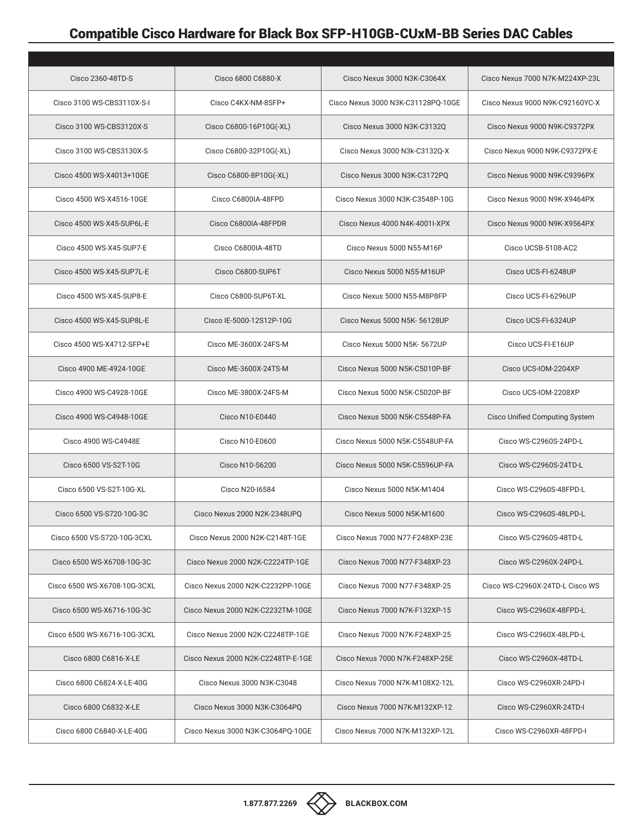## Compatible Cisco Hardware for Black Box SFP-H10GB-CUxM-BB Series DAC Cables

| Cisco 2360-48TD-S            | Cisco 6800 C6880-X                 | Cisco Nexus 3000 N3K-C3064X        | Cisco Nexus 7000 N7K-M224XP-23L |
|------------------------------|------------------------------------|------------------------------------|---------------------------------|
| Cisco 3100 WS-CBS3110X-S-I   | Cisco C4KX-NM-8SFP+                | Cisco Nexus 3000 N3K-C31128PQ-10GE | Cisco Nexus 9000 N9K-C92160YC-X |
| Cisco 3100 WS-CBS3120X-S     | Cisco C6800-16P10G(-XL)            | Cisco Nexus 3000 N3K-C3132Q        | Cisco Nexus 9000 N9K-C9372PX    |
| Cisco 3100 WS-CBS3130X-S     | Cisco C6800-32P10G(-XL)            | Cisco Nexus 3000 N3k-C3132Q-X      | Cisco Nexus 9000 N9K-C9372PX-E  |
| Cisco 4500 WS-X4013+10GE     | Cisco C6800-8P10G(-XL)             | Cisco Nexus 3000 N3K-C3172PQ       | Cisco Nexus 9000 N9K-C9396PX    |
| Cisco 4500 WS-X4516-10GE     | Cisco C6800IA-48FPD                | Cisco Nexus 3000 N3K-C3548P-10G    | Cisco Nexus 9000 N9K-X9464PX    |
| Cisco 4500 WS-X45-SUP6L-E    | Cisco C6800IA-48FPDR               | Cisco Nexus 4000 N4K-4001I-XPX     | Cisco Nexus 9000 N9K-X9564PX    |
| Cisco 4500 WS-X45-SUP7-E     | Cisco C6800IA-48TD                 | Cisco Nexus 5000 N55-M16P          | Cisco UCSB-5108-AC2             |
| Cisco 4500 WS-X45-SUP7L-E    | Cisco C6800-SUP6T                  | Cisco Nexus 5000 N55-M16UP         | Cisco UCS-FI-6248UP             |
| Cisco 4500 WS-X45-SUP8-E     | Cisco C6800-SUP6T-XL               | Cisco Nexus 5000 N55-M8P8FP        | Cisco UCS-FI-6296UP             |
| Cisco 4500 WS-X45-SUP8L-E    | Cisco IE-5000-12S12P-10G           | Cisco Nexus 5000 N5K- 56128UP      | Cisco UCS-FI-6324UP             |
| Cisco 4500 WS-X4712-SFP+E    | Cisco ME-3600X-24FS-M              | Cisco Nexus 5000 N5K- 5672UP       | Cisco UCS-FI-E16UP              |
| Cisco 4900 ME-4924-10GE      | Cisco ME-3600X-24TS-M              | Cisco Nexus 5000 N5K-C5010P-BF     | Cisco UCS-IOM-2204XP            |
| Cisco 4900 WS-C4928-10GE     | Cisco ME-3800X-24FS-M              | Cisco Nexus 5000 N5K-C5020P-BF     | Cisco UCS-IOM-2208XP            |
| Cisco 4900 WS-C4948-10GE     | Cisco N10-E0440                    | Cisco Nexus 5000 N5K-C5548P-FA     | Cisco Unified Computing System  |
| Cisco 4900 WS-C4948E         | Cisco N10-E0600                    | Cisco Nexus 5000 N5K-C5548UP-FA    | Cisco WS-C2960S-24PD-L          |
| Cisco 6500 VS-S2T-10G        | Cisco N10-S6200                    | Cisco Nexus 5000 N5K-C5596UP-FA    | Cisco WS-C2960S-24TD-L          |
| Cisco 6500 VS-S2T-10G-XL     | Cisco N20-16584                    | Cisco Nexus 5000 N5K-M1404         | Cisco WS-C2960S-48FPD-L         |
| Cisco 6500 VS-S720-10G-3C    | Cisco Nexus 2000 N2K-2348UPO       | Cisco Nexus 5000 N5K-M1600         | Cisco WS-C2960S-48LPD-L         |
| Cisco 6500 VS-S720-10G-3CXL  | Cisco Nexus 2000 N2K-C2148T-1GE    | Cisco Nexus 7000 N77-F248XP-23E    | Cisco WS-C2960S-48TD-L          |
| Cisco 6500 WS-X6708-10G-3C   | Cisco Nexus 2000 N2K-C2224TP-1GE   | Cisco Nexus 7000 N77-F348XP-23     | Cisco WS-C2960X-24PD-L          |
| Cisco 6500 WS-X6708-10G-3CXL | Cisco Nexus 2000 N2K-C2232PP-10GE  | Cisco Nexus 7000 N77-F348XP-25     | Cisco WS-C2960X-24TD-L Cisco WS |
| Cisco 6500 WS-X6716-10G-3C   | Cisco Nexus 2000 N2K-C2232TM-10GE  | Cisco Nexus 7000 N7K-F132XP-15     | Cisco WS-C2960X-48FPD-L         |
| Cisco 6500 WS-X6716-10G-3CXL | Cisco Nexus 2000 N2K-C2248TP-1GE   | Cisco Nexus 7000 N7K-F248XP-25     | Cisco WS-C2960X-48LPD-L         |
| Cisco 6800 C6816-X-LE        | Cisco Nexus 2000 N2K-C2248TP-E-1GE | Cisco Nexus 7000 N7K-F248XP-25E    | Cisco WS-C2960X-48TD-L          |
| Cisco 6800 C6824-X-LE-40G    | Cisco Nexus 3000 N3K-C3048         | Cisco Nexus 7000 N7K-M108X2-12L    | Cisco WS-C2960XR-24PD-I         |
| Cisco 6800 C6832-X-LE        | Cisco Nexus 3000 N3K-C3064PQ       | Cisco Nexus 7000 N7K-M132XP-12     | Cisco WS-C2960XR-24TD-I         |
| Cisco 6800 C6840-X-LE-40G    | Cisco Nexus 3000 N3K-C3064PQ-10GE  | Cisco Nexus 7000 N7K-M132XP-12L    | Cisco WS-C2960XR-48FPD-I        |